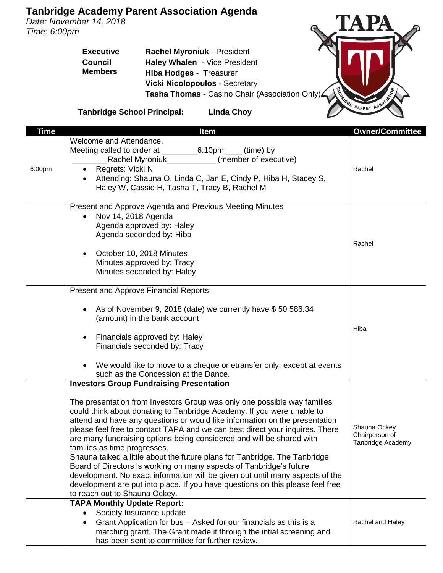## **Tanbridge Academy Parent Association Agenda**

*Date: November 14, 2018 Time: 6:00pm*

> **Executive Council Members Rachel Myroniuk** - President **Haley Whalen** - Vice President **Hiba Hodges** - Treasurer **Vicki Nicolopoulos** - Secretary **Tasha Thomas** - Casino Chair (Association Only)



**Tanbridge School Principal: Linda Choy**

| <u>Time</u> | <b>Item</b>                                                                                                                                           | <b>Owner/Committee</b> |
|-------------|-------------------------------------------------------------------------------------------------------------------------------------------------------|------------------------|
|             | Welcome and Attendance.                                                                                                                               |                        |
|             |                                                                                                                                                       |                        |
|             | Rachel Myroniuk_____________ (member of executive)                                                                                                    |                        |
| 6:00pm      | Regrets: Vicki N                                                                                                                                      | Rachel                 |
|             | Attending: Shauna O, Linda C, Jan E, Cindy P, Hiba H, Stacey S,                                                                                       |                        |
|             | Haley W, Cassie H, Tasha T, Tracy B, Rachel M                                                                                                         |                        |
|             |                                                                                                                                                       |                        |
|             | Present and Approve Agenda and Previous Meeting Minutes                                                                                               |                        |
|             | Nov 14, 2018 Agenda                                                                                                                                   |                        |
|             | Agenda approved by: Haley                                                                                                                             |                        |
|             | Agenda seconded by: Hiba                                                                                                                              |                        |
|             |                                                                                                                                                       | Rachel                 |
|             | October 10, 2018 Minutes                                                                                                                              |                        |
|             | Minutes approved by: Tracy<br>Minutes seconded by: Haley                                                                                              |                        |
|             |                                                                                                                                                       |                        |
|             | <b>Present and Approve Financial Reports</b>                                                                                                          |                        |
|             |                                                                                                                                                       |                        |
|             | As of November 9, 2018 (date) we currently have \$50 586.34                                                                                           |                        |
|             | (amount) in the bank account.                                                                                                                         |                        |
|             |                                                                                                                                                       | Hiba                   |
|             | Financials approved by: Haley<br>$\bullet$                                                                                                            |                        |
|             | Financials seconded by: Tracy                                                                                                                         |                        |
|             |                                                                                                                                                       |                        |
|             | We would like to move to a cheque or etransfer only, except at events                                                                                 |                        |
|             | such as the Concession at the Dance.                                                                                                                  |                        |
|             | <b>Investors Group Fundraising Presentation</b>                                                                                                       |                        |
|             |                                                                                                                                                       |                        |
|             | The presentation from Investors Group was only one possible way families                                                                              |                        |
|             | could think about donating to Tanbridge Academy. If you were unable to<br>attend and have any questions or would like information on the presentation |                        |
|             | please feel free to contact TAPA and we can best direct your inquires. There                                                                          | Shauna Ockey           |
|             | are many fundraising options being considered and will be shared with                                                                                 | Chairperson of         |
|             | families as time progresses.                                                                                                                          | Tanbridge Academy      |
|             | Shauna talked a little about the future plans for Tanbridge. The Tanbridge                                                                            |                        |
|             | Board of Directors is working on many aspects of Tanbridge's future                                                                                   |                        |
|             | development. No exact information will be given out until many aspects of the                                                                         |                        |
|             | development are put into place. If you have questions on this please feel free                                                                        |                        |
|             | to reach out to Shauna Ockey.                                                                                                                         |                        |
|             | <b>TAPA Monthly Update Report:</b>                                                                                                                    |                        |
|             | Society Insurance update                                                                                                                              |                        |
|             | Grant Application for bus - Asked for our financials as this is a                                                                                     | Rachel and Haley       |
|             | matching grant. The Grant made it through the intial screening and                                                                                    |                        |
|             | has been sent to committee for further review.                                                                                                        |                        |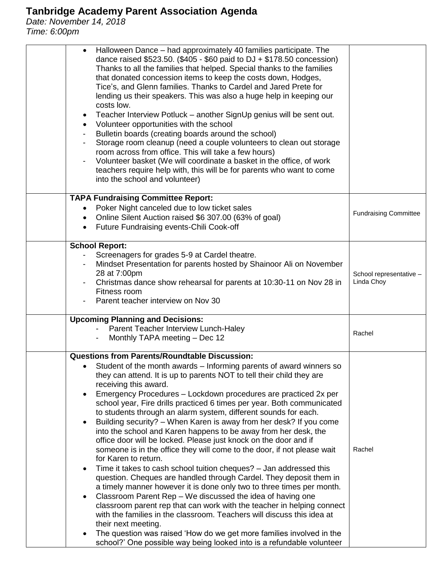## **Tanbridge Academy Parent Association Agenda**

*Date: November 14, 2018 Time: 6:00pm*

| Halloween Dance – had approximately 40 families participate. The<br>dance raised \$523.50. (\$405 - \$60 paid to DJ + \$178.50 concession)<br>Thanks to all the families that helped. Special thanks to the families<br>that donated concession items to keep the costs down, Hodges,<br>Tice's, and Glenn families. Thanks to Cardel and Jared Prete for<br>lending us their speakers. This was also a huge help in keeping our<br>costs low.<br>Teacher Interview Potluck – another SignUp genius will be sent out.<br>Volunteer opportunities with the school<br>Bulletin boards (creating boards around the school)<br>Storage room cleanup (need a couple volunteers to clean out storage<br>room across from office. This will take a few hours)<br>Volunteer basket (We will coordinate a basket in the office, of work<br>teachers require help with, this will be for parents who want to come<br>into the school and volunteer)                                                                                                                                                                                                                                                                                                                                                                                                                                      |                                       |
|--------------------------------------------------------------------------------------------------------------------------------------------------------------------------------------------------------------------------------------------------------------------------------------------------------------------------------------------------------------------------------------------------------------------------------------------------------------------------------------------------------------------------------------------------------------------------------------------------------------------------------------------------------------------------------------------------------------------------------------------------------------------------------------------------------------------------------------------------------------------------------------------------------------------------------------------------------------------------------------------------------------------------------------------------------------------------------------------------------------------------------------------------------------------------------------------------------------------------------------------------------------------------------------------------------------------------------------------------------------------------------|---------------------------------------|
| <b>TAPA Fundraising Committee Report:</b><br>Poker Night canceled due to low ticket sales<br>Online Silent Auction raised \$6 307.00 (63% of goal)<br>$\bullet$<br>Future Fundraising events-Chili Cook-off<br>$\bullet$                                                                                                                                                                                                                                                                                                                                                                                                                                                                                                                                                                                                                                                                                                                                                                                                                                                                                                                                                                                                                                                                                                                                                       | <b>Fundraising Committee</b>          |
| <b>School Report:</b><br>Screenagers for grades 5-9 at Cardel theatre.<br>Mindset Presentation for parents hosted by Shainoor Ali on November<br>28 at 7:00pm<br>Christmas dance show rehearsal for parents at 10:30-11 on Nov 28 in<br>Fitness room<br>Parent teacher interview on Nov 30                                                                                                                                                                                                                                                                                                                                                                                                                                                                                                                                                                                                                                                                                                                                                                                                                                                                                                                                                                                                                                                                                     | School representative -<br>Linda Choy |
| <b>Upcoming Planning and Decisions:</b><br>Parent Teacher Interview Lunch-Haley<br>Monthly TAPA meeting - Dec 12                                                                                                                                                                                                                                                                                                                                                                                                                                                                                                                                                                                                                                                                                                                                                                                                                                                                                                                                                                                                                                                                                                                                                                                                                                                               | Rachel                                |
| <b>Questions from Parents/Roundtable Discussion:</b><br>• Student of the month awards – Informing parents of award winners so<br>they can attend. It is up to parents NOT to tell their child they are<br>receiving this award.<br>Emergency Procedures - Lockdown procedures are practiced 2x per<br>school year, Fire drills practiced 6 times per year. Both communicated<br>to students through an alarm system, different sounds for each.<br>Building security? - When Karen is away from her desk? If you come<br>into the school and Karen happens to be away from her desk, the<br>office door will be locked. Please just knock on the door and if<br>someone is in the office they will come to the door, if not please wait<br>for Karen to return.<br>Time it takes to cash school tuition cheques? - Jan addressed this<br>question. Cheques are handled through Cardel. They deposit them in<br>a timely manner however it is done only two to three times per month.<br>Classroom Parent Rep - We discussed the idea of having one<br>classroom parent rep that can work with the teacher in helping connect<br>with the families in the classroom. Teachers will discuss this idea at<br>their next meeting.<br>The question was raised 'How do we get more families involved in the<br>school?' One possible way being looked into is a refundable volunteer | Rachel                                |